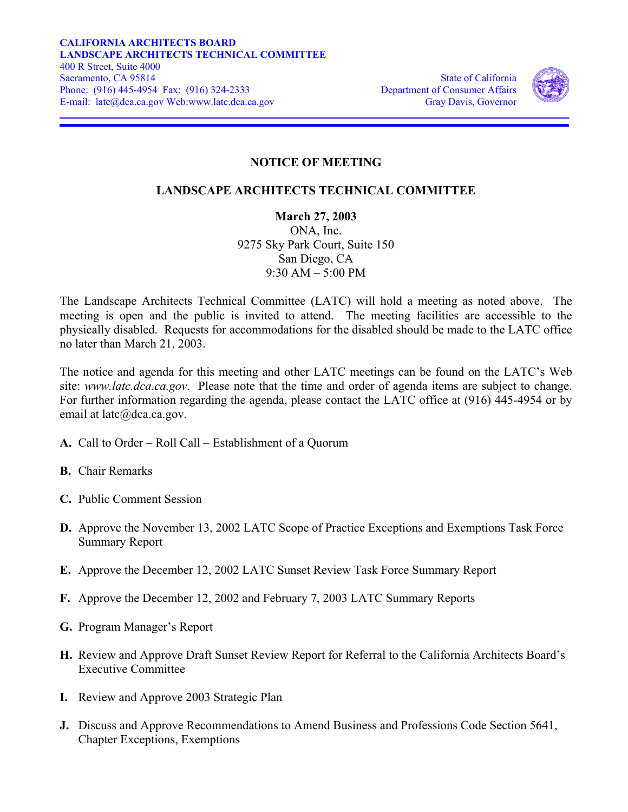

## **NOTICE OF MEETING**

## **LANDSCAPE ARCHITECTS TECHNICAL COMMITTEE**

**March 27, 2003**  ONA, Inc. 9275 Sky Park Court, Suite 150 San Diego, CA  $9.30$  AM – 5:00 PM

The Landscape Architects Technical Committee (LATC) will hold a meeting as noted above. The meeting is open and the public is invited to attend. The meeting facilities are accessible to the physically disabled. Requests for accommodations for the disabled should be made to the LATC office no later than March 21, 2003.

The notice and agenda for this meeting and other LATC meetings can be found on the LATC's Web site: *www.latc.dca.ca.gov*. Please note that the time and order of agenda items are subject to change. For further information regarding the agenda, please contact the LATC office at (916) 445-4954 or by email at latc@dca.ca.gov.

- **A.** Call to Order Roll Call Establishment of a Quorum
- **B.** Chair Remarks
- **C.** Public Comment Session
- **D.** Approve the November 13, 2002 LATC Scope of Practice Exceptions and Exemptions Task Force Summary Report
- **E.** Approve the December 12, 2002 LATC Sunset Review Task Force Summary Report
- **F.** Approve the December 12, 2002 and February 7, 2003 LATC Summary Reports
- **G.** Program Manager's Report
- **H.** Review and Approve Draft Sunset Review Report for Referral to the California Architects Board's Executive Committee
- **I.** Review and Approve 2003 Strategic Plan
- **J.** Discuss and Approve Recommendations to Amend Business and Professions Code Section 5641, Chapter Exceptions, Exemptions